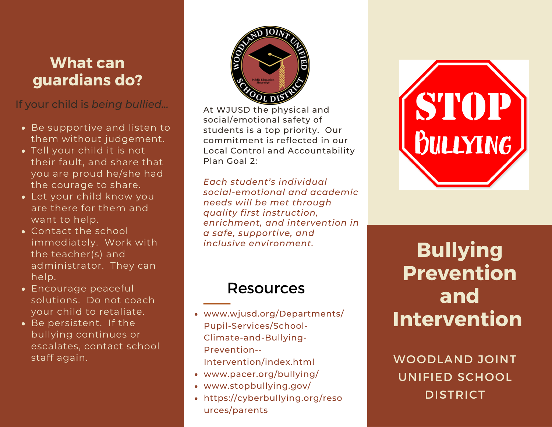## **What can guardians do?**

### If your child is *being bullied...*

- Be supportive and listen to them without judgement.
- Tell your child it is not their fault, and share that you are proud he/she had the courage to share.
- Let your child know you are there for them and want to help.
- Contact the school immediately. Work with the teacher(s) and administrator. They can help.
- Encourage peaceful solutions. Do not coach your child to retaliate.
- Be persistent. If the bullying continues or escalates, contact school staff again.



At WJUSD the physical and social/emotional safety of students is a top priority. Our commitment is reflected in our Local Control and Accountability Plan Goal 2:

*Each student's individual social-emotional and academic needs will be met through quality first instruction, enrichment, and intervention in a safe, supportive, and inclusive environment.*

## Resources

- www.wjusd.org/Departments/ Pupil-Services/School-Climate-and-Bullying-Prevention-- Intervention/index.html
- www.pacer.org/bullying/
- www.stopbullying.gov/
- [https://cyberbullying.org/reso](https://cyberbullying.org/resources/parents) urces/parents



**Bullying Prevention and Intervention**

WOODLAND JOINT UNIFIED SCHOOL DISTRICT